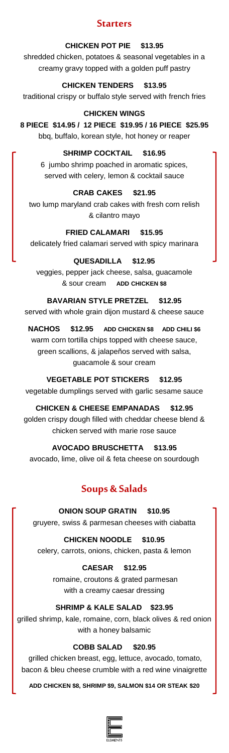### **Starters**

#### **CHICKEN POT PIE \$13.95**

shredded chicken, potatoes & seasonal vegetables in a creamy gravy topped with a golden puff pastry

**CHICKEN TENDERS \$13.95** traditional crispy or buffalo style served with french fries

**CHICKEN WINGS 8 PIECE \$14.95 / 12 PIECE \$19.95 / 16 PIECE \$25.95** bbq, buffalo, korean style, hot honey or reaper

> **SHRIMP COCKTAIL \$16.95** 6 jumbo shrimp poached in aromatic spices, served with celery, lemon & cocktail sauce

**CRAB CAKES \$21.95** two lump maryland crab cakes with fresh corn relish & cilantro mayo

**FRIED CALAMARI \$15.95** delicately fried calamari served with spicy marinara

# **QUESADILLA \$12.95**

veggies, pepper jack cheese, salsa, guacamole & sour cream **ADD CHICKEN \$8**

**BAVARIAN STYLE PRETZEL \$12.95** served with whole grain dijon mustard & cheese sauce

**NACHOS \$12.95 ADD CHICKEN \$8 ADD CHILI \$6** warm corn tortilla chips topped with cheese sauce, green scallions, & jalapeños served with salsa, guacamole & sour cream

**VEGETABLE POT STICKERS \$12.95** vegetable dumplings served with garlic sesame sauce

**CHICKEN & CHEESE EMPANADAS \$12.95** golden crispy dough filled with cheddar cheese blend & chicken served with marie rose sauce

**AVOCADO BRUSCHETTA \$13.95**

avocado, lime, olive oil & feta cheese on sourdough

# **Soups & Salads**

# **ONION SOUP GRATIN \$10.95**

gruyere, swiss & parmesan cheeses with ciabatta

**CHICKEN NOODLE \$10.95** celery, carrots, onions, chicken, pasta & lemon

> **CAESAR \$12.95** romaine, croutons & grated parmesan with a creamy caesar dressing

# **SHRIMP & KALE SALAD \$23.95**

grilled shrimp, kale, romaine, corn, black olives & red onion with a honey balsamic

# **COBB SALAD \$20.95**

grilled chicken breast, egg, lettuce, avocado, tomato, bacon & bleu cheese crumble with a red wine vinaigrette

**ADD CHICKEN \$8, SHRIMP \$9, SALMON \$14 OR STEAK \$20**

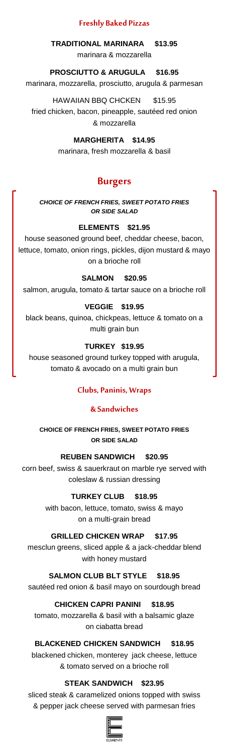### **Freshly Baked Pizzas**

**TRADITIONAL MARINARA \$13.95** marinara & mozzarella

### **PROSCIUTTO & ARUGULA \$16.95**

marinara, mozzarella, prosciutto, arugula & parmesan

HAWAIIAN BBQ CHCKEN \$15.95 fried chicken, bacon, pineapple, sautéed red onion & mozzarella

#### **MARGHERITA \$14.95**

marinara, fresh mozzarella & basil

### **Burgers**

*CHOICE OF FRENCH FRIES, SWEET POTATO FRIES OR SIDE SALAD*

#### **ELEMENTS \$21.95**

house seasoned ground beef, cheddar cheese, bacon, lettuce, tomato, onion rings, pickles, dijon mustard & mayo on a brioche roll

#### **SALMON \$20.95**

salmon, arugula, tomato & tartar sauce on a brioche roll

#### **VEGGIE \$19.95**

black beans, quinoa, chickpeas, lettuce & tomato on a multi grain bun

#### **TURKEY \$19.95**

house seasoned ground turkey topped with arugula, tomato & avocado on a multi grain bun

#### **Clubs, Paninis, Wraps**

#### **& Sandwiches**

**CHOICE OF FRENCH FRIES, SWEET POTATO FRIES OR SIDE SALAD**

#### **REUBEN SANDWICH \$20.95**

corn beef, swiss & sauerkraut on marble rye served with coleslaw & russian dressing

#### **TURKEY CLUB \$18.95**

with bacon, lettuce, tomato, swiss & mayo on a multi-grain bread

#### **GRILLED CHICKEN WRAP \$17.95**

mesclun greens, sliced apple & a jack-cheddar blend with honey mustard

**SALMON CLUB BLT STYLE \$18.95** sautéed red onion & basil mayo on sourdough bread

#### **CHICKEN CAPRI PANINI \$18.95**

tomato, mozzarella & basil with a balsamic glaze on ciabatta bread

### **BLACKENED CHICKEN SANDWICH \$18.95**

blackened chicken, monterey jack cheese, lettuce & tomato served on a brioche roll

### **STEAK SANDWICH \$23.95**

sliced steak & caramelized onions topped with swiss & pepper jack cheese served with parmesan fries

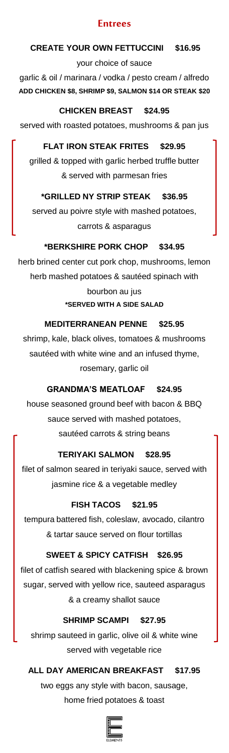### **Entrees**

### **CREATE YOUR OWN FETTUCCINI \$16.95**

your choice of sauce garlic & oil / marinara / vodka / pesto cream / alfredo **ADD CHICKEN \$8, SHRIMP \$9, SALMON \$14 OR STEAK \$20**

### **CHICKEN BREAST \$24.95**

served with roasted potatoes, mushrooms & pan jus

### **FLAT IRON STEAK FRITES \$29.95**

grilled & topped with garlic herbed truffle butter & served with parmesan fries

### **\*GRILLED NY STRIP STEAK \$36.95**

served au poivre style with mashed potatoes, carrots & asparagus

### **\*BERKSHIRE PORK CHOP \$34.95**

herb brined center cut pork chop, mushrooms, lemon herb mashed potatoes & sautéed spinach with bourbon au jus **\*SERVED WITH A SIDE SALAD** 

### **MEDITERRANEAN PENNE \$25.95**

shrimp, kale, black olives, tomatoes & mushrooms sautéed with white wine and an infused thyme, rosemary, garlic oil

### **GRANDMA'S MEATLOAF \$24.95**

house seasoned ground beef with bacon & BBQ sauce served with mashed potatoes, sautéed carrots & string beans

### **TERIYAKI SALMON \$28.95**

filet of salmon seared in teriyaki sauce, served with jasmine rice & a vegetable medley

### **FISH TACOS \$21.95**

tempura battered fish, coleslaw, avocado, cilantro & tartar sauce served on flour tortillas

### **SWEET & SPICY CATFISH \$26.95**

filet of catfish seared with blackening spice & brown sugar, served with yellow rice, sauteed asparagus & a creamy shallot sauce

### **SHRIMP SCAMPI \$27.95**

shrimp sauteed in garlic, olive oil & white wine served with vegetable rice

# **ALL DAY AMERICAN BREAKFAST \$17.95**

two eggs any style with bacon, sausage, home fried potatoes & toast

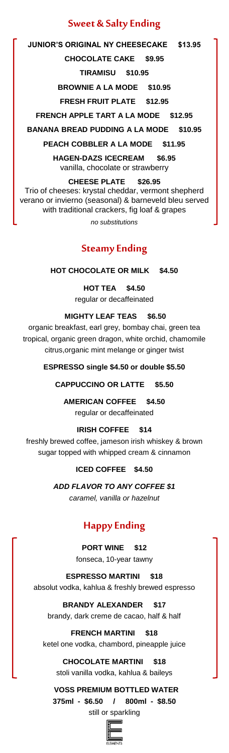### **Sweet & Salty Ending**

**JUNIOR'S ORIGINAL NY CHEESECAKE \$13.95 CHOCOLATE CAKE \$9.95**

**TIRAMISU \$10.95**

**BROWNIE A LA MODE \$10.95**

**FRESH FRUIT PLATE \$12.95**

**FRENCH APPLE TART A LA MODE \$12.95**

**BANANA BREAD PUDDING A LA MODE \$10.95**

**PEACH COBBLER A LA MODE \$11.95**

**HAGEN-DAZS ICECREAM \$6.95** vanilla, chocolate or strawberry

**CHEESE PLATE \$26.95** Trio of cheeses: krystal cheddar, vermont shepherd verano or invierno (seasonal) & barneveld bleu served with traditional crackers, fig loaf & grapes *no substitutions*

**Steamy Ending**

**HOT CHOCOLATE OR MILK \$4.50** 

**HOT TEA \$4.50** regular or decaffeinated

### **MIGHTY LEAF TEAS \$6.50**

organic breakfast, earl grey, bombay chai, green tea tropical, organic green dragon, white orchid, chamomile citrus,organic mint melange or ginger twist

**ESPRESSO single \$4.50 or double \$5.50**

**CAPPUCCINO OR LATTE \$5.50** 

**AMERICAN COFFEE \$4.50** regular or decaffeinated

**IRISH COFFEE \$14**

freshly brewed coffee, jameson irish whiskey & brown sugar topped with whipped cream & cinnamon

### **ICED COFFEE \$4.50**

*ADD FLAVOR TO ANY COFFEE \$1 caramel, vanilla or hazelnut*

# **Happy Ending**

**PORT WINE \$12**  fonseca, 10-year tawny

**ESPRESSO MARTINI \$18** absolut vodka, kahlua & freshly brewed espresso

**BRANDY ALEXANDER \$17** brandy, dark creme de cacao, half & half

**FRENCH MARTINI \$18** ketel one vodka, chambord, pineapple juice

**CHOCOLATE MARTINI \$18** stoli vanilla vodka, kahlua & baileys

 **VOSS PREMIUM BOTTLED WATER 375ml - \$6.50 / 800ml - \$8.50** still or sparkling